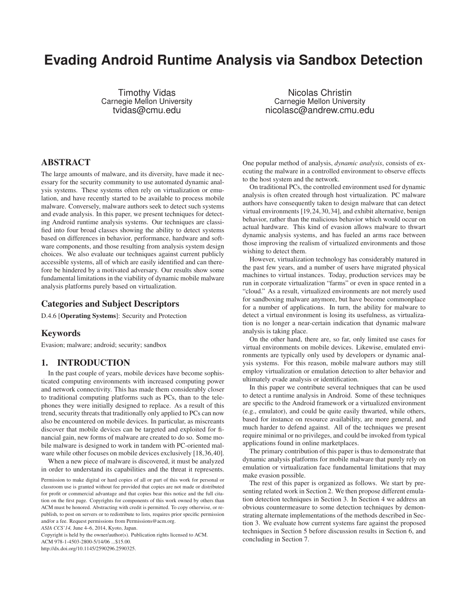# **Evading Android Runtime Analysis via Sandbox Detection**

Timothy Vidas Carnegie Mellon University tvidas@cmu.edu

Nicolas Christin Carnegie Mellon University nicolasc@andrew.cmu.edu

# ABSTRACT

The large amounts of malware, and its diversity, have made it necessary for the security community to use automated dynamic analysis systems. These systems often rely on virtualization or emulation, and have recently started to be available to process mobile malware. Conversely, malware authors seek to detect such systems and evade analysis. In this paper, we present techniques for detecting Android runtime analysis systems. Our techniques are classified into four broad classes showing the ability to detect systems based on differences in behavior, performance, hardware and software components, and those resulting from analysis system design choices. We also evaluate our techniques against current publicly accessible systems, all of which are easily identified and can therefore be hindered by a motivated adversary. Our results show some fundamental limitations in the viability of dynamic mobile malware analysis platforms purely based on virtualization.

# Categories and Subject Descriptors

D.4.6 [Operating Systems]: Security and Protection

# **Keywords**

Evasion; malware; android; security; sandbox

# 1. INTRODUCTION

In the past couple of years, mobile devices have become sophisticated computing environments with increased computing power and network connectivity. This has made them considerably closer to traditional computing platforms such as PCs, than to the telephones they were initially designed to replace. As a result of this trend, security threats that traditionally only applied to PCs can now also be encountered on mobile devices. In particular, as miscreants discover that mobile devices can be targeted and exploited for financial gain, new forms of malware are created to do so. Some mobile malware is designed to work in tandem with PC-oriented malware while other focuses on mobile devices exclusively [18,36,40].

When a new piece of malware is discovered, it must be analyzed in order to understand its capabilities and the threat it represents.

Copyright is held by the owner/author(s). Publication rights licensed to ACM.

ACM 978-1-4503-2800-5/14/06 ...\$15.00.

http://dx.doi.org/10.1145/2590296.2590325.

One popular method of analysis, *dynamic analysis*, consists of executing the malware in a controlled environment to observe effects to the host system and the network.

On traditional PCs, the controlled environment used for dynamic analysis is often created through host virtualization. PC malware authors have consequently taken to design malware that can detect virtual environments [19,24,30,34], and exhibit alternative, benign behavior, rather than the malicious behavior which would occur on actual hardware. This kind of evasion allows malware to thwart dynamic analysis systems, and has fueled an arms race between those improving the realism of virtualized environments and those wishing to detect them.

However, virtualization technology has considerably matured in the past few years, and a number of users have migrated physical machines to virtual instances. Today, production services may be run in corporate virtualization "farms" or even in space rented in a "cloud." As a result, virtualized environments are not merely used for sandboxing malware anymore, but have become commonplace for a number of applications. In turn, the ability for malware to detect a virtual environment is losing its usefulness, as virtualization is no longer a near-certain indication that dynamic malware analysis is taking place.

On the other hand, there are, so far, only limited use cases for virtual environments on mobile devices. Likewise, emulated environments are typically only used by developers or dynamic analysis systems. For this reason, mobile malware authors may still employ virtualization or emulation detection to alter behavior and ultimately evade analysis or identification.

In this paper we contribute several techniques that can be used to detect a runtime analysis in Android. Some of these techniques are specific to the Android framework or a virtualized environment (e.g., emulator), and could be quite easily thwarted, while others, based for instance on resource availability, are more general, and much harder to defend against. All of the techniques we present require minimal or no privileges, and could be invoked from typical applications found in online marketplaces.

The primary contribution of this paper is thus to demonstrate that dynamic analysis platforms for mobile malware that purely rely on emulation or virtualization face fundamental limitations that may make evasion possible.

The rest of this paper is organized as follows. We start by presenting related work in Section 2. We then propose different emulation detection techniques in Section 3. In Section 4 we address an obvious countermeasure to some detection techniques by demonstrating alternate implementations of the methods described in Section 3. We evaluate how current systems fare against the proposed techniques in Section 5 before discussion results in Section 6, and concluding in Section 7.

Permission to make digital or hard copies of all or part of this work for personal or classroom use is granted without fee provided that copies are not made or distributed for profit or commercial advantage and that copies bear this notice and the full citation on the first page. Copyrights for components of this work owned by others than ACM must be honored. Abstracting with credit is permitted. To copy otherwise, or republish, to post on servers or to redistribute to lists, requires prior specific permission and/or a fee. Request permissions from Permissions@acm.org.

*ASIA CCS'14,* June 4–6, 2014, Kyoto, Japan.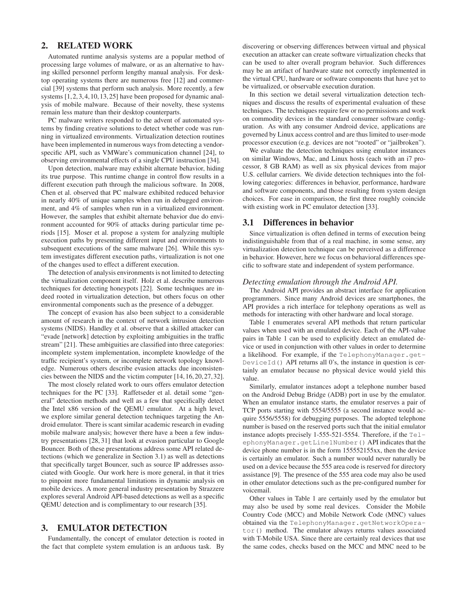# 2. RELATED WORK

Automated runtime analysis systems are a popular method of processing large volumes of malware, or as an alternative to having skilled personnel perform lengthy manual analysis. For desktop operating systems there are numerous free [12] and commercial [39] systems that perform such analysis. More recently, a few systems [1, 2, 3, 4, 10, 13, 25] have been proposed for dynamic analysis of mobile malware. Because of their novelty, these systems remain less mature than their desktop counterparts.

PC malware writers responded to the advent of automated systems by finding creative solutions to detect whether code was running in virtualized environments. Virtualization detection routines have been implemented in numerous ways from detecting a vendorspecific API, such as VMWare's communication channel [24], to observing environmental effects of a single CPU instruction [34].

Upon detection, malware may exhibit alternate behavior, hiding its true purpose. This runtime change in control flow results in a different execution path through the malicious software. In 2008, Chen et al. observed that PC malware exhibited reduced behavior in nearly 40% of unique samples when run in debugged environment, and 4% of samples when run in a virtualized environment. However, the samples that exhibit alternate behavior due do environment accounted for 90% of attacks during particular time periods [15]. Moser et al. propose a system for analyzing multiple execution paths by presenting different input and environments to subsequent executions of the same malware [26]. While this system investigates different execution paths, virtualization is not one of the changes used to effect a different execution.

The detection of analysis environments is not limited to detecting the virtualization component itself. Holz et al. describe numerous techniques for detecting honeypots [22]. Some techniques are indeed rooted in virtualization detection, but others focus on other environmental components such as the presence of a debugger.

The concept of evasion has also been subject to a considerable amount of research in the context of network intrusion detection systems (NIDS). Handley et al. observe that a skilled attacker can "evade [network] detection by exploiting ambiguities in the traffic stream" [21]. These ambiguities are classified into three categories: incomplete system implementation, incomplete knowledge of the traffic recipient's system, or incomplete network topology knowledge. Numerous others describe evasion attacks due inconsistencies between the NIDS and the victim computer [14, 16, 20, 27, 32].

The most closely related work to ours offers emulator detection techniques for the PC [33]. Raffetseder et al. detail some "general" detection methods and well as a few that specifically detect the Intel x86 version of the QEMU emulator. At a high level, we explore similar general detection techniques targeting the Android emulator. There is scant similar academic research in evading mobile malware analysis; however there have a been a few industry presentations [28, 31] that look at evasion particular to Google Bouncer. Both of these presentations address some API related detections (which we generalize in Section 3.1) as well as detections that specifically target Bouncer, such as source IP addresses associated with Google. Our work here is more general, in that it tries to pinpoint more fundamental limitations in dynamic analysis on mobile devices. A more general industry presentation by Strazzere explores several Android API-based detections as well as a specific QEMU detection and is complimentary to our research [35].

## 3. EMULATOR DETECTION

Fundamentally, the concept of emulator detection is rooted in the fact that complete system emulation is an arduous task. By

discovering or observing differences between virtual and physical execution an attacker can create software virtualization checks that can be used to alter overall program behavior. Such differences may be an artifact of hardware state not correctly implemented in the virtual CPU, hardware or software components that have yet to be virtualized, or observable execution duration.

In this section we detail several virtualization detection techniques and discuss the results of experimental evaluation of these techniques. The techniques require few or no permissions and work on commodity devices in the standard consumer software configuration. As with any consumer Android device, applications are governed by Linux access control and are thus limited to user-mode processor execution (e.g. devices are not "rooted" or "jailbroken").

We evaluate the detection techniques using emulator instances on similar Windows, Mac, and Linux hosts (each with an i7 processor, 8 GB RAM) as well as six physical devices from major U.S. cellular carriers. We divide detection techniques into the following categories: differences in behavior, performance, hardware and software components, and those resulting from system design choices. For ease in comparison, the first three roughly coincide with existing work in PC emulator detection [33].

# 3.1 Differences in behavior

Since virtualization is often defined in terms of execution being indistinguishable from that of a real machine, in some sense, any virtualization detection technique can be perceived as a difference in behavior. However, here we focus on behavioral differences specific to software state and independent of system performance.

#### *Detecting emulation through the Android API.*

The Android API provides an abstract interface for application programmers. Since many Android devices are smartphones, the API provides a rich interface for telephony operations as well as methods for interacting with other hardware and local storage.

Table 1 enumerates several API methods that return particular values when used with an emulated device. Each of the API-value pairs in Table 1 can be used to explicitly detect an emulated device or used in conjunction with other values in order to determine a likelihood. For example, if the TelephonyManager.get-DeviceId() API returns all 0's, the instance in question is certainly an emulator because no physical device would yield this value.

Similarly, emulator instances adopt a telephone number based on the Android Debug Bridge (ADB) port in use by the emulator. When an emulator instance starts, the emulator reserves a pair of TCP ports starting with 5554/5555 (a second instance would acquire 5556/5558) for debugging purposes. The adopted telephone number is based on the reserved ports such that the initial emulator instance adopts precisely 1-555-521-5554. Therefore, if the TelephonyManager.getLine1Number() API indicates that the device phone number is in the form 155552155xx, then the device is certainly an emulator. Such a number would never naturally be used on a device because the 555 area code is reserved for directory assistance [9]. The presence of the 555 area code may also be used in other emulator detections such as the pre-configured number for voicemail.

Other values in Table 1 are certainly used by the emulator but may also be used by some real devices. Consider the Mobile Country Code (MCC) and Mobile Network Code (MNC) values obtained via the TelephonyManager.getNetworkOperator() method. The emulator always returns values associated with T-Mobile USA. Since there are certainly real devices that use the same codes, checks based on the MCC and MNC need to be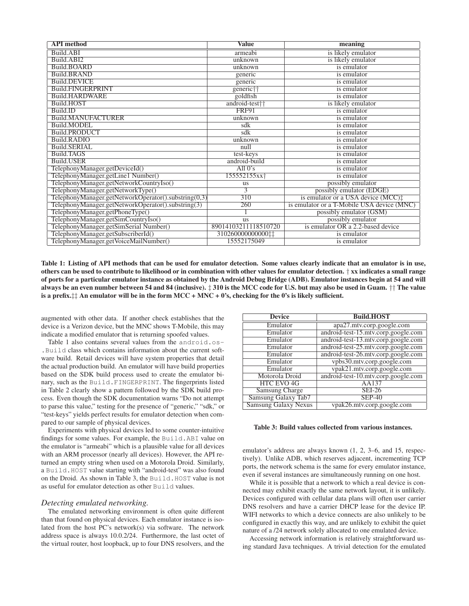| <b>API</b> method                                    | <b>Value</b>               | meaning                                    |  |  |
|------------------------------------------------------|----------------------------|--------------------------------------------|--|--|
| Build.ABI                                            | armeabi                    | is likely emulator                         |  |  |
| Build.ABI2                                           | unknown                    | is likely emulator                         |  |  |
| Build.BOARD                                          | unknown                    | is emulator                                |  |  |
| Build.BRAND                                          | generic                    | is emulator                                |  |  |
| <b>Build.DEVICE</b>                                  | generic                    | is emulator                                |  |  |
| Build.FINGERPRINT                                    | generic††                  | is emulator                                |  |  |
| <b>Build.HARDWARE</b>                                | goldfish                   | is emulator                                |  |  |
| Build.HOST                                           | android-test <sup>++</sup> | is likely emulator                         |  |  |
| Build.ID                                             | <b>FRF91</b>               | is emulator                                |  |  |
| Build.MANUFACTURER                                   | unknown                    | is emulator                                |  |  |
| Build.MODEL                                          | sdk                        | is emulator                                |  |  |
| <b>Build.PRODUCT</b>                                 | sdk                        | is emulator                                |  |  |
| Build.RADIO                                          | unknown                    | is emulator                                |  |  |
| <b>Build.SERIAL</b>                                  | null                       | is emulator                                |  |  |
| Build.TAGS                                           | test-keys                  | is emulator                                |  |  |
| <b>Build.USER</b>                                    | android-build              | is emulator                                |  |  |
| TelephonyManager.getDeviceId()                       | All $0's$                  | is emulator                                |  |  |
| TelephonyManager.getLine1 Number()                   | 155552155xx†               | is emulator                                |  |  |
| TelephonyManager.getNetworkCountryIso()              | <b>us</b>                  | possibly emulator                          |  |  |
| TelephonyManager.getNetworkType()                    | 3                          | possibly emulator (EDGE)                   |  |  |
| TelephonyManager.getNetworkOperator().substring(0,3) | 310                        | is emulator or a USA device (MCC):         |  |  |
| TelephonyManager.getNetworkOperator().substring(3)   | 260                        | is emulator or a T-Mobile USA device (MNC) |  |  |
| TelephonyManager.getPhoneType()                      |                            | possibly emulator (GSM)                    |  |  |
| TelephonyManager.getSimCountryIso()                  | <b>us</b>                  | possibly emulator                          |  |  |
| TelephonyManager.getSimSerial Number()               | 89014103211118510720       | is emulator OR a 2.2-based device          |  |  |
| TelephonyManager.getSubscriberId()                   | 31026000000000000000       | is emulator                                |  |  |
| TelephonyManager.getVoiceMailNumber()                | 15552175049                | is emulator                                |  |  |

Table 1: Listing of API methods that can be used for emulator detection. Some values clearly indicate that an emulator is in use, others can be used to contribute to likelihood or in combination with other values for emulator detection.  $\dagger$  xx indicates a small range of ports for a particular emulator instance as obtained by the Android Debug Bridge (ADB). Emulator instances begin at 54 and will always be an even number between 54 and 84 (inclusive). ‡ 310 is the MCC code for U.S. but may also be used in Guam. †† The value is a prefix. $\ddagger$  An emulator will be in the form MCC + MNC + 0's, checking for the 0's is likely sufficient.

augmented with other data. If another check establishes that the device is a Verizon device, but the MNC shows T-Mobile, this may indicate a modified emulator that is returning spoofed values.

Table 1 also contains several values from the android.os-.Build class which contains information about the current software build. Retail devices will have system properties that detail the actual production build. An emulator will have build properties based on the SDK build process used to create the emulator binary, such as the Build.FINGERPRINT. The fingerprints listed in Table 2 clearly show a pattern followed by the SDK build process. Even though the SDK documentation warns "Do not attempt to parse this value," testing for the presence of "generic," "sdk," or "test-keys" yields perfect results for emulator detection when compared to our sample of physical devices.

Experiments with physical devices led to some counter-intuitive findings for some values. For example, the Build.ABI value on the emulator is "armeabi" which is a plausible value for all devices with an ARM processor (nearly all devices). However, the API returned an empty string when used on a Motorola Droid. Similarly, a Build.HOST value starting with "android-test" was also found on the Droid. As shown in Table 3, the Build.HOST value is not as useful for emulator detection as other Build values.

### *Detecting emulated networking.*

The emulated networking environment is often quite different than that found on physical devices. Each emulator instance is isolated from the host PC's network(s) via software. The network address space is always 10.0.2/24. Furthermore, the last octet of the virtual router, host loopback, up to four DNS resolvers, and the

| <b>Device</b>               | <b>Build.HOST</b>                   |
|-----------------------------|-------------------------------------|
| Emulator                    | apa27.mtv.corp.google.com           |
| Emulator                    | android-test-15.mtv.corp.google.com |
| Emulator                    | android-test-13.mtv.corp.google.com |
| Emulator                    | android-test-25.mtv.corp.google.com |
| Emulator                    | android-test-26.mtv.corp.google.com |
| Emulator                    | vpbs30.mtv.corp.google.com          |
| Emulator                    | vpak21.mtv.corp.google.com          |
| Motorola Droid              | android-test-10.mtv.corp.google.com |
| <b>HTC EVO 4G</b>           | AA137                               |
| <b>Samsung Charge</b>       | <b>SEI-26</b>                       |
| Samsung Galaxy Tab7         | $SEP-40$                            |
| <b>Samsung Galaxy Nexus</b> | vpak26.mtv.corp.google.com          |

#### Table 3: Build values collected from various instances.

emulator's address are always known (1, 2, 3–6, and 15, respectively). Unlike ADB, which reserves adjacent, incrementing TCP ports, the network schema is the same for every emulator instance, even if several instances are simultaneously running on one host.

While it is possible that a network to which a real device is connected may exhibit exactly the same network layout, it is unlikely. Devices configured with cellular data plans will often user carrier DNS resolvers and have a carrier DHCP lease for the device IP. WIFI networks to which a device connects are also unlikely to be configured in exactly this way, and are unlikely to exhibit the quiet nature of a /24 network solely allocated to one emulated device.

Accessing network information is relatively straightforward using standard Java techniques. A trivial detection for the emulated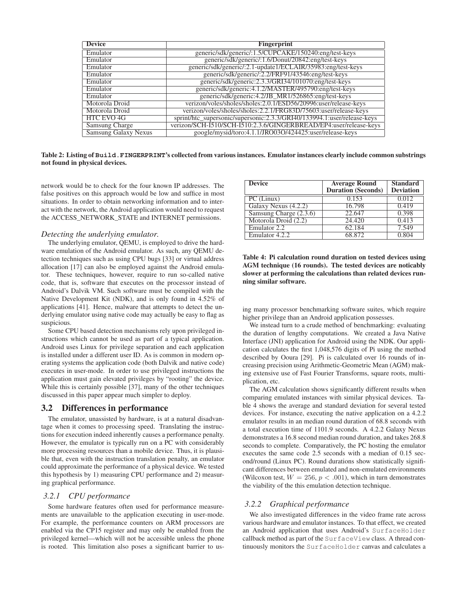| <b>Device</b>               | Fingerprint                                                             |
|-----------------------------|-------------------------------------------------------------------------|
| Emulator                    | generic/sdk/generic/:1.5/CUPCAKE/150240:eng/test-keys                   |
| Emulator                    | generic/sdk/generic/:1.6/Donut/20842:eng/test-keys                      |
| Emulator                    | generic/sdk/generic/:2.1-update1/ECLAIR/35983:eng/test-keys             |
| Emulator                    | generic/sdk/generic/:2.2/FRF91/43546:eng/test-keys                      |
| Emulator                    | generic/sdk/generic:2.3.3/GRI34/101070:eng/test-keys                    |
| Emulator                    | generic/sdk/generic:4.1.2/MASTER/495790:eng/test-keys                   |
| Emulator                    | generic/sdk/generic:4.2/JB_MR1/526865:eng/test-keys                     |
| Motorola Droid              | verizon/voles/sholes/sholes:2.0.1/ESD56/20996:user/release-keys         |
| Motorola Droid              | verizon/voles/sholes/sholes:2.2.1/FRG83D/75603:user/release-keys        |
| HTC EVO 4G                  | sprint/htc_supersonic/supersonic:2.3.3/GRI40/133994.1:user/release-keys |
| <b>Samsung Charge</b>       | verizon/SCH-I510/SCH-I510:2.3.6/GINGERBREAD/EP4:user/release-keys       |
| <b>Samsung Galaxy Nexus</b> | google/mysid/toro:4.1.1/JRO03O/424425:user/release-keys                 |

Table 2: Listing of **Build.FINGERPRINT**'s collected from various instances. Emulator instances clearly include common substrings not found in physical devices.

network would be to check for the four known IP addresses. The false positives on this approach would be low and suffice in most situations. In order to obtain networking information and to interact with the network, the Android application would need to request the ACCESS\_NETWORK\_STATE and INTERNET permissions.

#### *Detecting the underlying emulator.*

The underlying emulator, QEMU, is employed to drive the hardware emulation of the Android emulator. As such, any QEMU detection techniques such as using CPU bugs [33] or virtual address allocation [17] can also be employed against the Android emulator. These techniques, however, require to run so-called native code, that is, software that executes on the processor instead of Android's Dalvik VM. Such software must be compiled with the Native Development Kit (NDK), and is only found in 4.52% of applications [41]. Hence, malware that attempts to detect the underlying emulator using native code may actually be easy to flag as suspicious.

Some CPU based detection mechanisms rely upon privileged instructions which cannot be used as part of a typical application. Android uses Linux for privilege separation and each application is installed under a different user ID. As is common in modern operating systems the application code (both Dalvik and native code) executes in user-mode. In order to use privileged instructions the application must gain elevated privileges by "rooting" the device. While this is certainly possible [37], many of the other techniques discussed in this paper appear much simpler to deploy.

### 3.2 Differences in performance

The emulator, unassisted by hardware, is at a natural disadvantage when it comes to processing speed. Translating the instructions for execution indeed inherently causes a performance penalty. However, the emulator is typically run on a PC with considerably more processing resources than a mobile device. Thus, it is plausible that, even with the instruction translation penalty, an emulator could approximate the performance of a physical device. We tested this hypothesis by 1) measuring CPU performance and 2) measuring graphical performance.

### *3.2.1 CPU performance*

Some hardware features often used for performance measurements are unavailable to the application executing in user-mode. For example, the performance counters on ARM processors are enabled via the CP15 register and may only be enabled from the privileged kernel—which will not be accessible unless the phone is rooted. This limitation also poses a significant barrier to us-

| <b>Device</b>          | <b>Average Round</b><br><b>Duration (Seconds)</b> | <b>Standard</b><br><b>Deviation</b> |
|------------------------|---------------------------------------------------|-------------------------------------|
| PC(Linux)              | 0.153                                             | 0.012                               |
| Galaxy Nexus (4.2.2)   | 16.798                                            | 0.419                               |
| Samsung Charge (2.3.6) | 22.647                                            | 0.398                               |
| Motorola Droid (2.2)   | 24.420                                            | 0.413                               |
| Emulator 2.2           | 62.184                                            | 7.549                               |
| Emulator 4.2.2         | 68.872                                            | 0.804                               |

Table 4: Pi calculation round duration on tested devices using AGM technique (16 rounds). The tested devices are noticably slower at performing the calculations than related devices running similar software.

ing many processor benchmarking software suites, which require higher privilege than an Android application possesses.

We instead turn to a crude method of benchmarking: evaluating the duration of lengthy computations. We created a Java Native Interface (JNI) application for Android using the NDK. Our application calculates the first 1,048,576 digits of Pi using the method described by Ooura [29]. Pi is calculated over 16 rounds of increasing precision using Arithmetic-Geometric Mean (AGM) making extensive use of Fast Fourier Transforms, square roots, multiplication, etc.

The AGM calculation shows significantly different results when comparing emulated instances with similar physical devices. Table 4 shows the average and standard deviation for several tested devices. For instance, executing the native application on a 4.2.2 emulator results in an median round duration of 68.8 seconds with a total execution time of 1101.9 seconds. A 4.2.2 Galaxy Nexus demonstrates a 16.8 second median round duration, and takes 268.8 seconds to complete. Comparatively, the PC hosting the emulator executes the same code 2.5 seconds with a median of 0.15 second/round (Linux PC). Round durations show statistically significant differences between emulated and non-emulated environments (Wilcoxon test,  $W = 256$ ,  $p < .001$ ), which in turn demonstrates the viability of the this emulation detection technique.

#### *3.2.2 Graphical performance*

We also investigated differences in the video frame rate across various hardware and emulator instances. To that effect, we created an Android application that uses Android's SurfaceHolder callback method as part of the SurfaceView class. A thread continuously monitors the SurfaceHolder canvas and calculates a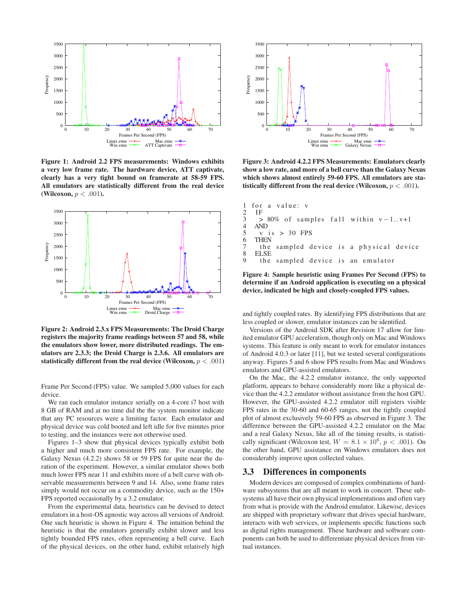

Figure 1: Android 2.2 FPS measurements: Windows exhibits a very low frame rate. The hardware device, ATT captivate, clearly has a very tight bound on framerate at 58-59 FPS. All emulators are statistically different from the real device (Wilcoxon,  $p < .001$ ).



Figure 2: Android 2.3.x FPS Measurements: The Droid Charge registers the majority frame readings between 57 and 58, while the emulators show lower, more distributed readings. The emulators are 2.3.3; the Droid Charge is 2.3.6. All emulators are statistically different from the real device (Wilcoxon,  $p < .001$ )

Frame Per Second (FPS) value. We sampled 5,000 values for each device.

We ran each emulator instance serially on a 4-core i7 host with 8 GB of RAM and at no time did the the system monitor indicate that any PC resources were a limiting factor. Each emulator and physical device was cold booted and left idle for five minutes prior to testing, and the instances were not otherwise used.

Figures 1–3 show that physical devices typically exhibit both a higher and much more consistent FPS rate. For example, the Galaxy Nexus (4.2.2) shows 58 or 59 FPS for quite near the duration of the experiment. However, a similar emulator shows both much lower FPS near 11 and exhibits more of a bell curve with observable measurements between 9 and 14. Also, some frame rates simply would not occur on a commodity device, such as the 150+ FPS reported occasionally by a 3.2 emulator.

From the experimental data, heuristics can be devised to detect emulators in a host-OS agnostic way across all versions of Android. One such heuristic is shown in Figure 4. The intuition behind the heuristic is that the emulators generally exhibit slower and less tightly bounded FPS rates, often representing a bell curve. Each of the physical devices, on the other hand, exhibit relatively high



Figure 3: Android 4.2.2 FPS Measurements: Emulators clearly show a low rate, and more of a bell curve than the Galaxy Nexus which shows almost entirely 59-60 FPS. All emulators are statistically different from the real device (Wilcoxon,  $p < .001$ ).

```
\frac{1}{2} for a value: v
\begin{array}{cc} 2 & \text{IF} \\ 3 & > \end{array}3 > 80\% of samples fall within v-1..v+1<br>4 AND
4 AND \frac{4}{5} v
5 \quad v \quad is \quad > 30 FPS<br>6 THEN
6 THEN<br>7 the
7 the sampled device is a physical device<br>8 ELSE
8 ELSE<br>9 the
             sampled device is an emulator
```
Figure 4: Sample heuristic using Frames Per Second (FPS) to determine if an Android application is executing on a physical device, indicated be high and closely-coupled FPS values.

and tightly coupled rates. By identifying FPS distributions that are less coupled or slower, emulator instances can be identified.

Versions of the Android SDK after Revision 17 allow for limited emulator GPU acceleration, though only on Mac and Windows systems. This feature is only meant to work for emulator instances of Android 4.0.3 or later [11], but we tested several configurations anyway. Figures 5 and 6 show FPS results from Mac and Windows emulators and GPU-assisted emulators.

On the Mac, the 4.2.2 emulator instance, the only supported platform, appears to behave considerably more like a physical device than the 4.2.2 emulator without assistance from the host GPU. However, the GPU-assisted 4.2.2 emulator still registers visible FPS rates in the 30-60 and 60-65 ranges, not the tightly coupled plot of almost exclusively 59-60 FPS as observed in Figure 3. The difference between the GPU-assisted 4.2.2 emulator on the Mac and a real Galaxy Nexus, like all of the timing results, is statistically significant (Wilcoxon test,  $W = 8.1 \times 10^6$ ,  $p < .001$ ). On the other hand, GPU assistance on Windows emulators does not considerably improve upon collected values.

# 3.3 Differences in components

Modern devices are composed of complex combinations of hardware subsystems that are all meant to work in concert. These subsystems all have their own physical implementations and often vary from what is provide with the Android emulator. Likewise, devices are shipped with proprietary software that drives special hardware, interacts with web services, or implements specific functions such as digital rights management. These hardware and software components can both be used to differentiate physical devices from virtual instances.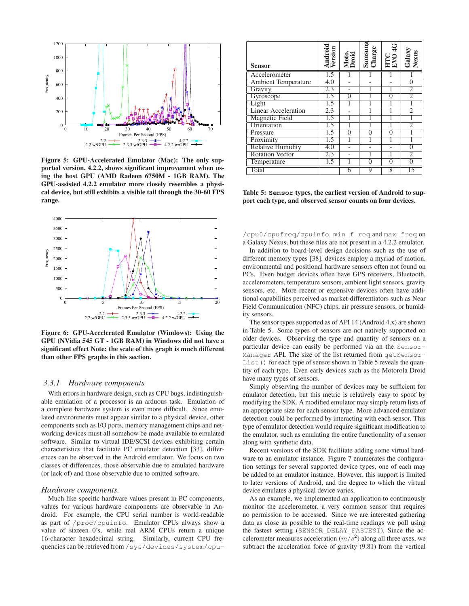

Figure 5: GPU-Accelerated Emulator (Mac): The only supported version, 4.2.2, shows significant improvement when using the host GPU (AMD Radeon 6750M - 1GB RAM). The GPU-assisted 4.2.2 emulator more closely resembles a physical device, but still exhibits a visible tail through the 30-60 FPS range.



Figure 6: GPU-Accelerated Emulator (Windows): Using the GPU (NVidia 545 GT - 1GB RAM) in Windows did not have a significant effect Note: the scale of this graph is much different than other FPS graphs in this section.

#### *3.3.1 Hardware components*

With errors in hardware design, such as CPU bugs, indistinguishable emulation of a processor is an arduous task. Emulation of a complete hardware system is even more difficult. Since emulated environments must appear similar to a physical device, other components such as I/O ports, memory management chips and networking devices must all somehow be made available to emulated software. Similar to virtual IDE/SCSI devices exhibiting certain characteristics that facilitate PC emulator detection [33], differences can be observed in the Android emulator. We focus on two classes of differences, those observable due to emulated hardware (or lack of) and those observable due to omitted software.

#### *Hardware components.*

Much like specific hardware values present in PC components, values for various hardware components are observable in Android. For example, the CPU serial number is world-readable as part of /proc/cpuinfo. Emulator CPUs always show a value of sixteen 0's, while real ARM CPUs return a unique 16-character hexadecimal string. Similarly, current CPU frequencies can be retrieved from /sys/devices/system/cpu-

| <b>Sensor</b>              | Android<br>Version | Moto.<br>Droid | Samsung<br>Charge | HTC<br>EVO     | Galaxy<br>Nexus |
|----------------------------|--------------------|----------------|-------------------|----------------|-----------------|
| Accelerometer              | 1.5                |                |                   |                |                 |
| <b>Ambient Temperature</b> | 4.0                |                |                   |                | 0               |
| Gravity                    | 2.3                |                |                   |                | $\overline{2}$  |
| Gyroscope                  | 1.5                | 0              |                   | 0              | $\overline{2}$  |
| Light                      | 1.5                |                |                   |                |                 |
| <b>Linear Acceleration</b> | 2.3                |                |                   |                | $\overline{2}$  |
| <b>Magnetic Field</b>      | 1.5                |                |                   |                |                 |
| Orientation                | 1.5                |                |                   |                | $\overline{2}$  |
| Pressure                   | 1.5                | $\overline{0}$ | 0                 | $\overline{0}$ |                 |
| Proximity                  | 1.5                |                |                   |                |                 |
| <b>Relative Humidity</b>   | 4.0                |                |                   |                | $\overline{0}$  |
| <b>Rotation Vector</b>     | 2.3                |                |                   |                | $\overline{2}$  |
| Temperature                | 1.5                |                | $\Omega$          | $\theta$       | $\overline{0}$  |
| Total                      |                    | 6              | 9                 | $\overline{8}$ | 15              |

Table 5: **Sensor** types, the earliest version of Android to support each type, and observed sensor counts on four devices.

/cpu0/cpufreq/cpuinfo\_min\_f req and max\_freq on a Galaxy Nexus, but these files are not present in a 4.2.2 emulator.

In addition to board-level design decisions such as the use of different memory types [38], devices employ a myriad of motion, environmental and positional hardware sensors often not found on PCs. Even budget devices often have GPS receivers, Bluetooth, accelerometers, temperature sensors, ambient light sensors, gravity sensors, etc. More recent or expensive devices often have additional capabilities perceived as market-differentiators such as Near Field Communication (NFC) chips, air pressure sensors, or humidity sensors.

The sensor types supported as of API 14 (Android 4.x) are shown in Table 5. Some types of sensors are not natively supported on older devices. Observing the type and quantity of sensors on a particular device can easily be performed via an the Sensor-Manager API. The size of the list returned from getSensor-List() for each type of sensor shown in Table 5 reveals the quantity of each type. Even early devices such as the Motorola Droid have many types of sensors.

Simply observing the number of devices may be sufficient for emulator detection, but this metric is relatively easy to spoof by modifying the SDK. A modified emulator may simply return lists of an appropriate size for each sensor type. More advanced emulator detection could be performed by interacting with each sensor. This type of emulator detection would require significant modification to the emulator, such as emulating the entire functionality of a sensor along with synthetic data.

Recent versions of the SDK facilitate adding some virtual hardware to an emulator instance. Figure 7 enumerates the configuration settings for several supported device types, one of each may be added to an emulator instance. However, this support is limited to later versions of Android, and the degree to which the virtual device emulates a physical device varies.

As an example, we implemented an application to continuously monitor the accelerometer, a very common sensor that requires no permission to be accessed. Since we are interested gathering data as close as possible to the real-time readings we poll using the fastest setting (SENSOR\_DELAY\_FASTEST). Since the accelerometer measures acceleration  $\overline{(m/s^2)}$  along all three axes, we subtract the acceleration force of gravity (9.81) from the vertical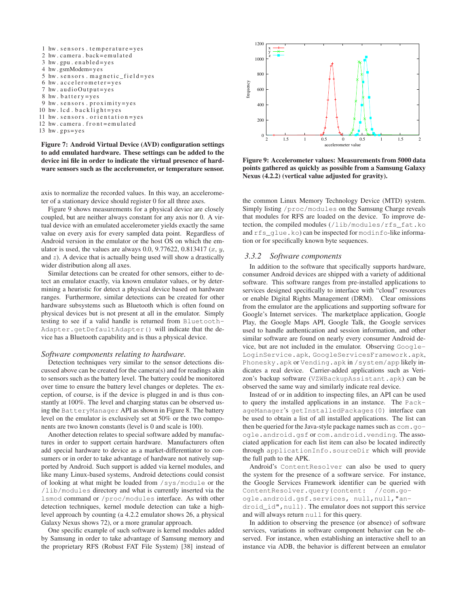

Figure 7: Android Virtual Device (AVD) configuration settings to add emulated hardware. These settings can be added to the device ini file in order to indicate the virtual presence of hardware sensors such as the accelerometer, or temperature sensor.

axis to normalize the recorded values. In this way, an accelerometer of a stationary device should register 0 for all three axes.

Figure 9 shows measurements for a physical device are closely coupled, but are neither always constant for any axis nor 0. A virtual device with an emulated accelerometer yields exactly the same value on every axis for every sampled data point. Regardless of Android version in the emulator or the host OS on which the emulator is used, the values are always 0.0, 9.77622, 0.813417  $(x, y, z)$ and  $z$ ). A device that is actually being used will show a drastically wider distribution along all axes.

Similar detections can be created for other sensors, either to detect an emulator exactly, via known emulator values, or by determining a heuristic for detect a physical device based on hardware ranges. Furthermore, similar detections can be created for other hardware subsystems such as Bluetooth which is often found on physical devices but is not present at all in the emulator. Simply testing to see if a valid handle is returned from Bluetooth-Adapter.getDefaultAdapter() will indicate that the device has a Bluetooth capability and is thus a physical device.

#### *Software components relating to hardware.*

Detection techniques very similar to the sensor detections discussed above can be created for the camera(s) and for readings akin to sensors such as the battery level. The battery could be monitored over time to ensure the battery level changes or depletes. The exception, of course, is if the device is plugged in and is thus constantly at 100%. The level and charging status can be observed using the BatteryManager API as shown in Figure 8. The battery level on the emulator is exclusively set at 50% or the two components are two known constants (level is 0 and scale is 100).

Another detection relates to special software added by manufactures in order to support certain hardware. Manufacturers often add special hardware to device as a market-differentiator to consumers or in order to take advantage of hardware not natively supported by Android. Such support is added via kernel modules, and like many Linux-based systems, Android detections could consist of looking at what might be loaded from /sys/module or the /lib/modules directory and what is currently inserted via the lsmod command or /proc/modules interface. As with other detection techniques, kernel module detection can take a highlevel approach by counting (a 4.2.2 emulator shows 26, a physical Galaxy Nexus shows 72), or a more granular approach.

One specific example of such software is kernel modules added by Samsung in order to take advantage of Samsung memory and the proprietary RFS (Robust FAT File System) [38] instead of



Figure 9: Accelerometer values: Measurements from 5000 data points gathered as quickly as possible from a Samsung Galaxy Nexus (4.2.2) (vertical value adjusted for gravity).

the common Linux Memory Technology Device (MTD) system. Simply listing /proc/modules on the Samsung Charge reveals that modules for RFS are loaded on the device. To improve detection, the compiled modules (/lib/modules/rfs\_fat.ko and rfs qlue.ko) can be inspected for modinfo-like information or for specifically known byte sequences.

#### *3.3.2 Software components*

In addition to the software that specifically supports hardware, consumer Android devices are shipped with a variety of additional software. This software ranges from pre-installed applications to services designed specifically to interface with "cloud" resources or enable Digital Rights Management (DRM). Clear omissions from the emulator are the applications and supporting software for Google's Internet services. The marketplace application, Google Play, the Google Maps API, Google Talk, the Google services used to handle authentication and session information, and other similar software are found on nearly every consumer Android device, but are not included in the emulator. Observing Google-LoginService.apk, GoogleServicesFramework.apk, Phonesky.apk or Vending.apk in /system/app likely indicates a real device. Carrier-added applications such as Verizon's backup software (VZWBackupAssistant.apk) can be observed the same way and similarly indicate real device.

Instead of or in addition to inspecting files, an API can be used to query the installed applications in an instance. The PackageManager's getInstalledPackages(0) interface can be used to obtain a list of all installed applications. The list can then be queried for the Java-style package names such as  $com. qo$ ogle.android.gsf or com.android.vending. The associated application for each list item can also be located indirectly through applicationInfo.sourceDir which will provide the full path to the APK.

Android's ContentResolver can also be used to query the system for the presence of a software service. For instance, the Google Services Framework identifier can be queried with ContentResolver.query(content: //com.go-

ogle.android.gsf.services, null,null,"an-

droid\_id",null). The emulator does not support this service and will always return null for this query.

In addition to observing the presence (or absence) of software services, variations in software component behavior can be observed. For instance, when establishing an interactive shell to an instance via ADB, the behavior is different between an emulator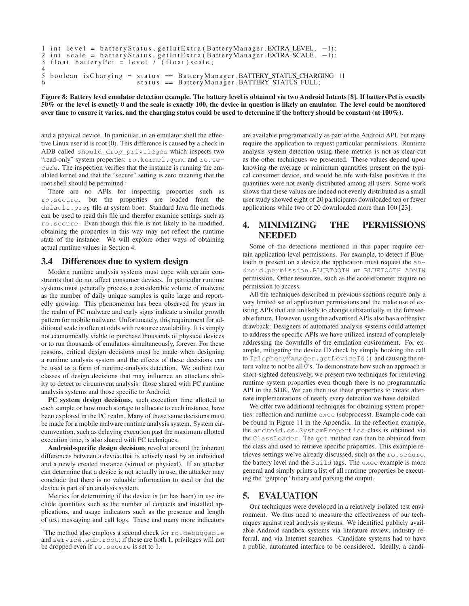```
int \; level = battery Status . get Int Extra (BatteryManager . EXTRA. LEVEL, -1);2 int scale = batteryStatus.getIntExtra(BatteryManager.EXTRA_SCALE, -1);
3 float battery Pct = level / (float) scale;
\frac{4}{5}5 boolean is Charging = status == Battery Manager BATTERY_STATUS_CHARGING | \vert 6 status == Battery Manager BATTERY STATUS FULL:
                             status =BatteryManager.BATTERY_STATUS_FULL;
```
Figure 8: Battery level emulator detection example. The battery level is obtained via two Android Intents [8]. If batteryPct is exactly 50% or the level is exactly 0 and the scale is exactly 100, the device in question is likely an emulator. The level could be monitored over time to ensure it varies, and the charging status could be used to determine if the battery should be constant (at  $100\%$ ).

and a physical device. In particular, in an emulator shell the effective Linux user id is root (0). This difference is caused by a check in ADB called should\_drop\_privileges which inspects two "read-only" system properties: ro.kernel.qemu and ro.secure. The inspection verifies that the instance is running the emulated kernel and that the "secure" setting is zero meaning that the root shell should be permitted.<sup>1</sup>

There are no APIs for inspecting properties such as ro.secure, but the properties are loaded from the default.prop file at system boot. Standard Java file methods can be used to read this file and therefor examine settings such as ro.secure. Even though this file is not likely to be modified, obtaining the properties in this way may not reflect the runtime state of the instance. We will explore other ways of obtaining actual runtime values in Section 4.

# 3.4 Differences due to system design

Modern runtime analysis systems must cope with certain constraints that do not affect consumer devices. In particular runtime systems must generally process a considerable volume of malware as the number of daily unique samples is quite large and reportedly growing. This phenomenon has been observed for years in the realm of PC malware and early signs indicate a similar growth pattern for mobile malware. Unfortunately, this requirement for additional scale is often at odds with resource availability. It is simply not economically viable to purchase thousands of physical devices or to run thousands of emulators simultaneously, forever. For these reasons, critical design decisions must be made when designing a runtime analysis system and the effects of these decisions can be used as a form of runtime-analysis detection. We outline two classes of design decisions that may influence an attackers ability to detect or circumvent analysis: those shared with PC runtime analysis systems and those specific to Android.

PC system design decisions, such execution time allotted to each sample or how much storage to allocate to each instance, have been explored in the PC realm. Many of these same decisions must be made for a mobile malware runtime analysis system. System circumvention, such as delaying execution past the maximum allotted execution time, is also shared with PC techniques.

Android-specific design decisions revolve around the inherent differences between a device that is actively used by an individual and a newly created instance (virtual or physical). If an attacker can determine that a device is not actually in use, the attacker may conclude that there is no valuable information to steal or that the device is part of an analysis system.

Metrics for determining if the device is (or has been) in use include quantities such as the number of contacts and installed applications, and usage indicators such as the presence and length of text messaging and call logs. These and many more indicators are available programatically as part of the Android API, but many require the application to request particular permissions. Runtime analysis system detection using these metrics is not as clear-cut as the other techniques we presented. These values depend upon knowing the average or minimum quantities present on the typical consumer device, and would be rife with false positives if the quantities were not evenly distributed among all users. Some work shows that these values are indeed not evenly distributed as a small user study showed eight of 20 participants downloaded ten or fewer applications while two of 20 downloaded more than 100 [23].

# 4. MINIMIZING THE PERMISSIONS NEEDED

Some of the detections mentioned in this paper require certain application-level permissions. For example, to detect if Bluetooth is present on a device the application must request the android.permission.BLUETOOTH or BLUETOOTH\_ADMIN permission. Other resources, such as the accelerometer require no permission to access.

All the techniques described in previous sections require only a very limited set of application permissions and the make use of existing APIs that are unlikely to change substantially in the foreseeable future. However, using the advertised APIs also has a offensive drawback: Designers of automated analysis systems could attempt to address the specific APIs we have utilized instead of completely addressing the downfalls of the emulation environment. For example, mitigating the device ID check by simply hooking the call to TelephonyManager.getDeviceId() and causing the return value to not be all 0's. To demonstrate how such an approach is short-sighted defensively, we present two techniques for retrieving runtime system properties even though there is no programmatic API in the SDK. We can then use these properties to create alternate implementations of nearly every detection we have detailed.

We offer two additional techniques for obtaining system properties: reflection and runtime exec (subprocess). Example code can be found in Figure 11 in the Appendix. In the reflection example, the android.os.SystemProperties class is obtained via the ClassLoader. The get method can then be obtained from the class and used to retrieve specific properties. This example retrieves settings we've already discussed, such as the ro.secure, the battery level and the Build tags. The exec example is more general and simply prints a list of all runtime properties be executing the "getprop" binary and parsing the output.

### 5. EVALUATION

Our techniques were developed in a relatively isolated test environment. We thus need to measure the effectiveness of our techniques against real analysis systems. We identified publicly available Android sandbox systems via literature review, industry referral, and via Internet searches. Candidate systems had to have a public, automated interface to be considered. Ideally, a candi-

<sup>&</sup>lt;sup>1</sup>The method also employs a second check for  $ro$ . debuggable and service.adb.root; if these are both 1, privileges will not be dropped even if ro.secure is set to 1.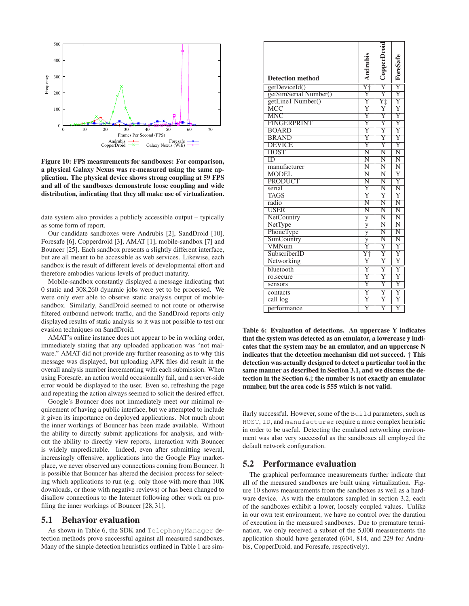

Figure 10: FPS measurements for sandboxes: For comparison, a physical Galaxy Nexus was re-measured using the same application. The physical device shows strong coupling at 59 FPS and all of the sandboxes demonstrate loose coupling and wide distribution, indicating that they all make use of virtualization.

date system also provides a publicly accessible output – typically as some form of report.

Our candidate sandboxes were Andrubis [2], SandDroid [10], Foresafe [6], Copperdroid [3], AMAT [1], mobile-sandbox [7] and Bouncer [25]. Each sandbox presents a slightly different interface, but are all meant to be accessible as web services. Likewise, each sandbox is the result of different levels of developmental effort and therefore embodies various levels of product maturity.

Mobile-sandbox constantly displayed a message indicating that 0 static and 308,260 dynamic jobs were yet to be processed. We were only ever able to observe static analysis output of mobilesandbox. Similarly, SandDroid seemed to not route or otherwise filtered outbound network traffic, and the SandDroid reports only displayed results of static analysis so it was not possible to test our evasion techniques on SandDroid.

AMAT's online instance does not appear to be in working order, immediately stating that any uploaded application was "not malware." AMAT did not provide any further reasoning as to why this message was displayed, but uploading APK files did result in the overall analysis number incrementing with each submission. When using Foresafe, an action would occasionally fail, and a server-side error would be displayed to the user. Even so, refreshing the page and repeating the action always seemed to solicit the desired effect.

Google's Bouncer does not immediately meet our minimal requirement of having a public interface, but we attempted to include it given its importance on deployed applications. Not much about the inner workings of Bouncer has been made available. Without the ability to directly submit applications for analysis, and without the ability to directly view reports, interaction with Bouncer is widely unpredictable. Indeed, even after submitting several, increasingly offensive, applications into the Google Play marketplace, we never observed any connections coming from Bouncer. It is possible that Bouncer has altered the decision process for selecting which applications to run (e.g. only those with more than 10K downloads, or those with negative reviews) or has been changed to disallow connections to the Internet following other work on profiling the inner workings of Bouncer [28, 31].

# 5.1 Behavior evaluation

As shown in Table 6, the SDK and TelephonyManager detection methods prove successful against all measured sandboxes. Many of the simple detection heuristics outlined in Table 1 are sim-

| <b>Detection method</b> | Andrubis                            | CopperDroid                         | ForeSafe                            |
|-------------------------|-------------------------------------|-------------------------------------|-------------------------------------|
| getDeviceId()           | Y†                                  | $\overline{\overline{{\mathsf Y}}}$ | $\overline{\overline{Y}}$           |
| getSimSerial Number()   | Y                                   | $\overline{Y}$                      | Y                                   |
| getLine1 Number()       | $\overline{\mathrm{Y}}$             | Yţ                                  | $\overline{\mathrm{Y}}$             |
| MCC                     | Y                                   | Y                                   | Y                                   |
| MNC                     | Y                                   | Y                                   | Y                                   |
| FINGERPRINT             | Y                                   | Ÿ                                   | Y                                   |
| <b>BOARD</b>            | $\overline{\mathrm{Y}}$             | $\overline{\mathrm{Y}}$             | $\overline{\rm Y}$                  |
| <b>BRAND</b>            | Y                                   | Y                                   | $\overline{\rm Y}$                  |
| <b>DEVICE</b>           | Ÿ                                   | Ÿ                                   | Ÿ                                   |
| <b>HOST</b>             | $\overline{\rm N}$                  | Ñ                                   | Ñ                                   |
| $\overline{ID}$         | $\overline{\rm N}$                  | $\overline{\rm N}$                  | $\overline{\text{N}}$               |
| manufacturer            | $\overline{\text{N}}$               | $\overline{\text{N}}$               | $\overline{\text{N}}$               |
| <b>MODEL</b>            | Ñ                                   | $\overline{\rm N}$                  | Y                                   |
| <b>PRODUCT</b>          | $\overline{\rm N}$                  | $\overline{\rm N}$                  | Ÿ                                   |
| serial                  | $\overline{\mathrm{Y}}$             | $\overline{\text{N}}$               | $\overline{\rm N}$                  |
| <b>TAGS</b>             | Y                                   | $\overline{\mathrm{Y}}$             | $\overline{\mathrm{Y}}$             |
| radio                   | $\overline{\rm N}$                  | $\overline{\rm N}$                  | $\overline{\rm N}$                  |
| <b>USER</b>             | $_{\rm N}$                          | $\overline{\rm N}$                  | $\overline{\rm N}$                  |
| <b>NetCountry</b>       | y                                   | $\overline{\rm N}$                  | $\overline{\rm N}$                  |
| NetType                 | y                                   | $\overline{\rm N}$                  | $\overline{\rm N}$                  |
| <b>PhoneType</b>        | y                                   | $\overline{\rm N}$                  | $\overline{\rm N}$                  |
| SimCountry              | $\frac{\rm y}{\rm Y}$               | $\overline{\rm N}$                  | $\overline{\rm N}$                  |
| VMNum                   |                                     | Y                                   | Y                                   |
| SubscriberID            | Y†                                  | $\overline{\mathrm{Y}}$             | $\overline{\mathrm{Y}}$             |
| Networking              | Ÿ                                   | Ÿ                                   | Ÿ                                   |
| bluetooth               | Ÿ                                   | Ÿ                                   | Ÿ                                   |
| ro.secure               | Y                                   | Y                                   | Y                                   |
| sensors                 | Y                                   | Ÿ                                   | Y                                   |
| contacts                | Ÿ                                   | $\overline{\mathrm{Y}}$             | $\overline{\overline{Y}}$           |
| call log                | Y                                   | Y                                   | Y                                   |
| performance             | $\overline{\overline{{\mathsf Y}}}$ | $\overline{\overline{{\mathsf Y}}}$ | $\overline{\overline{{\mathsf Y}}}$ |

Table 6: Evaluation of detections. An uppercase Y indicates that the system was detected as an emulator, a lowercase y indicates that the system may be an emulator, and an uppercase N indicates that the detection mechanism did not succeed. † This detection was actually designed to detect a particular tool in the same manner as described in Section 3.1, and we discuss the detection in the Section 6.‡ the number is not exactly an emulator number, but the area code is 555 which is not valid.

ilarly successful. However, some of the Build parameters, such as HOST, ID, and manufacturer require a more complex heuristic in order to be useful. Detecting the emulated networking environment was also very successful as the sandboxes all employed the default network configuration.

### 5.2 Performance evaluation

The graphical performance measurements further indicate that all of the measured sandboxes are built using virtualization. Figure 10 shows measurements from the sandboxes as well as a hardware device. As with the emulators sampled in section 3.2, each of the sandboxes exhibit a lower, loosely coupled values. Unlike in our own test environment, we have no control over the duration of execution in the measured sandboxes. Due to premature termination, we only received a subset of the 5,000 measurements the application should have generated (604, 814, and 229 for Andrubis, CopperDroid, and Foresafe, respectively).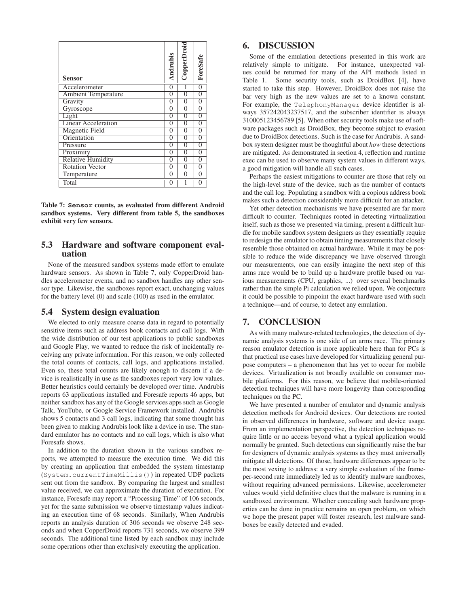| <b>Sensor</b>              | Andrubis       | CopperDroid    | ForeSafe       |
|----------------------------|----------------|----------------|----------------|
| Accelerometer              | 0              |                | $\overline{0}$ |
| <b>Ambient Temperature</b> | 0              | $\overline{0}$ | $\overline{0}$ |
| Gravity                    | 0              | $\theta$       | $\overline{0}$ |
| Gyroscope                  | $\overline{0}$ | $\overline{0}$ | $\overline{0}$ |
| Light                      | 0              | $\overline{0}$ | $\overline{0}$ |
| <b>Linear Acceleration</b> | 0              | $\overline{0}$ | $\overline{0}$ |
| Magnetic Field             | 0              | $\theta$       | $\overline{0}$ |
| Orientation                | 0              | $\theta$       | $\overline{0}$ |
| Pressure                   | 0              | 0              | $\overline{0}$ |
| Proximity                  | 0              | $\overline{0}$ | $\overline{0}$ |
| <b>Relative Humidity</b>   | 0              | $\theta$       | $\overline{0}$ |
| <b>Rotation Vector</b>     | 0              | $\Omega$       | $\overline{0}$ |
| Temperature                | 0              | 0              | $\overline{0}$ |
| Total                      | 0              |                | $\overline{0}$ |

Table 7: **Sensor** counts, as evaluated from different Android sandbox systems. Very different from table 5, the sandboxes exhibit very few sensors.

# 5.3 Hardware and software component evaluation

None of the measured sandbox systems made effort to emulate hardware sensors. As shown in Table 7, only CopperDroid handles accelerometer events, and no sandbox handles any other sensor type. Likewise, the sandboxes report exact, unchanging values for the battery level (0) and scale (100) as used in the emulator.

### 5.4 System design evaluation

We elected to only measure coarse data in regard to potentially sensitive items such as address book contacts and call logs. With the wide distribution of our test applications to public sandboxes and Google Play, we wanted to reduce the risk of incidentally receiving any private information. For this reason, we only collected the total counts of contacts, call logs, and applications installed. Even so, these total counts are likely enough to discern if a device is realistically in use as the sandboxes report very low values. Better heuristics could certainly be developed over time. Andrubis reports 63 applications installed and Foresafe reports 46 apps, but neither sandbox has any of the Google services apps such as Google Talk, YouTube, or Google Service Framework installed. Andrubis shows 5 contacts and 3 call logs, indicating that some thought has been given to making Andrubis look like a device in use. The standard emulator has no contacts and no call logs, which is also what Foresafe shows.

In addition to the duration shown in the various sandbox reports, we attempted to measure the execution time. We did this by creating an application that embedded the system timestamp (System.currentTimeMillis()) in repeated UDP packets sent out from the sandbox. By comparing the largest and smallest value received, we can approximate the duration of execution. For instance, Foresafe may report a "Processing Time" of 106 seconds, yet for the same submission we observe timestamp values indicating an execution time of 68 seconds. Similarly, When Andrubis reports an analysis duration of 306 seconds we observe 248 seconds and when CopperDroid reports 731 seconds, we observe 399 seconds. The additional time listed by each sandbox may include some operations other than exclusively executing the application.

# 6. DISCUSSION

Some of the emulation detections presented in this work are relatively simple to mitigate. For instance, unexpected values could be returned for many of the API methods listed in Table 1. Some security tools, such as DroidBox [4], have started to take this step. However, DroidBox does not raise the bar very high as the new values are set to a known constant. For example, the TelephonyManager device identifier is always 357242043237517, and the subscriber identifier is always 310005123456789 [5]. When other security tools make use of software packages such as DroidBox, they become subject to evasion due to DroidBox detections. Such is the case for Andrubis. A sandbox system designer must be thoughtful about *how* these detections are mitigated. As demonstrated in section 4, reflection and runtime exec can be used to observe many system values in different ways, a good mitigation will handle all such cases.

Perhaps the easiest mitigations to counter are those that rely on the high-level state of the device, such as the number of contacts and the call log. Populating a sandbox with a copious address book makes such a detection considerably more difficult for an attacker.

Yet other detection mechanisms we have presented are far more difficult to counter. Techniques rooted in detecting virtualization itself, such as those we presented via timing, present a difficult hurdle for mobile sandbox system designers as they essentially require to redesign the emulator to obtain timing measurements that closely resemble those obtained on actual hardware. While it may be possible to reduce the wide discrepancy we have observed through our measurements, one can easily imagine the next step of this arms race would be to build up a hardware profile based on various measurements (CPU, graphics, ...) over several benchmarks rather than the simple Pi calculation we relied upon. We conjecture it could be possible to pinpoint the exact hardware used with such a technique—and of course, to detect any emulation.

# 7. CONCLUSION

As with many malware-related technologies, the detection of dynamic analysis systems is one side of an arms race. The primary reason emulator detection is more applicable here than for PCs is that practical use cases have developed for virtualizing general purpose computers – a phenomenon that has yet to occur for mobile devices. Virtualization is not broadly available on consumer mobile platforms. For this reason, we believe that mobile-oriented detection techniques will have more longevity than corresponding techniques on the PC.

We have presented a number of emulator and dynamic analysis detection methods for Android devices. Our detections are rooted in observed differences in hardware, software and device usage. From an implementation perspective, the detection techniques require little or no access beyond what a typical application would normally be granted. Such detections can significantly raise the bar for designers of dynamic analysis systems as they must universally mitigate all detections. Of those, hardware differences appear to be the most vexing to address: a very simple evaluation of the frameper-second rate immediately led us to identify malware sandboxes, without requiring advanced permissions. Likewise, accelerometer values would yield definitive clues that the malware is running in a sandboxed environment. Whether concealing such hardware properties can be done in practice remains an open problem, on which we hope the present paper will foster research, lest malware sandboxes be easily detected and evaded.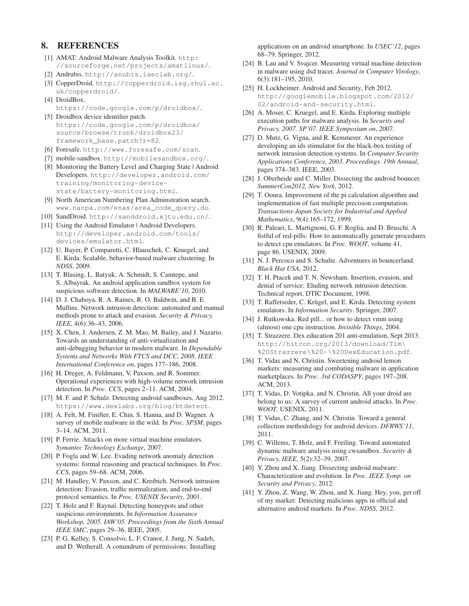# 8. REFERENCES

- [1] AMAT: Android Malware Analysis Toolkit. http: //sourceforge.net/projects/amatlinux/.
- [2] Andrubis. http://anubis.iseclab.org/.
- [3] CopperDroid. http://copperdroid.isg.rhul.ac. uk/copperdroid/.
- [4] DroidBox. https://code.google.com/p/droidbox/.
- [5] Droidbox device identifier patch. https://code.google.com/p/droidbox/ source/browse/trunk/droidbox23/ framework\_base.patch?r=82.
- [6] Foresafe. http://www.foresafe.com/scan.
- [7] mobile-sandbox. http://mobilesandbox.org/.
- [8] Monitoring the Battery Level and Charging State | Android Developers. http://developer.android.com/ training/monitoring-devicestate/battery-monitoring.html.
- [9] North American Numbering Plan Adminstration search. www.nanpa.com/enas/area\_code\_query.do.
- [10] SandDroid.http://sanddroid.xjtu.edu.cn/.
- [11] Using the Android Emulator | Android Developers. http://developer.android.com/tools/ devices/emulator.html.
- [12] U. Bayer, P. Comparetti, C. Hlauschek, C. Kruegel, and E. Kirda. Scalable, behavior-based malware clustering. In *NDSS*, 2009.
- [13] T. Blasing, L. Batyuk, A. Schmidt, S. Camtepe, and S. Albayrak. An android application sandbox system for suspicious software detection. In *MALWARE'10*, 2010.
- [14] D. J. Chaboya, R. A. Raines, R. O. Baldwin, and B. E. Mullins. Network intrusion detection: automated and manual methods prone to attack and evasion. *Security & Privacy, IEEE*, 4(6):36–43, 2006.
- [15] X. Chen, J. Andersen, Z. M. Mao, M. Bailey, and J. Nazario. Towards an understanding of anti-virtualization and anti-debugging behavior in modern malware. In *Dependable Systems and Networks With FTCS and DCC, 2008. IEEE International Conference on*, pages 177–186, 2008.
- [16] H. Dreger, A. Feldmann, V. Paxson, and R. Sommer. Operational experiences with high-volume network intrusion detection. In *Proc. CCS*, pages 2–11. ACM, 2004.
- [17] M. F. and P. Schulz. Detecting android sandboxes, Aug 2012. https://www.dexlabs.org/blog/btdetect.
- [18] A. Felt, M. Finifter, E. Chin, S. Hanna, and D. Wagner. A survey of mobile malware in the wild. In *Proc. SPSM*, pages 3–14. ACM, 2011.
- [19] P. Ferrie. Attacks on more virtual machine emulators. *Symantec Technology Exchange*, 2007.
- [20] P. Fogla and W. Lee. Evading network anomaly detection systems: formal reasoning and practical techniques. In *Proc. CCS*, pages 59–68. ACM, 2006.
- [21] M. Handley, V. Paxson, and C. Kreibich. Network intrusion detection: Evasion, traffic normalization, and end-to-end protocol semantics. In *Proc. USENIX Security*, 2001.
- [22] T. Holz and F. Raynal. Detecting honeypots and other suspicious environments. In *Information Assurance Workshop, 2005. IAW'05. Proceedings from the Sixth Annual IEEE SMC*, pages 29–36. IEEE, 2005.
- [23] P. G. Kelley, S. Consolvo, L. F. Cranor, J. Jung, N. Sadeh, and D. Wetherall. A conundrum of permissions: Installing

applications on an android smartphone. In *USEC'12*, pages 68–79. Springer, 2012.

- [24] B. Lau and V. Svajcer. Measuring virtual machine detection in malware using dsd tracer. *Journal in Computer Virology*, 6(3):181–195, 2010.
- [25] H. Lockheimer. Android and Security, Feb 2012. http://googlemobile.blogspot.com/2012/ 02/android-and-security.html.
- [26] A. Moser, C. Kruegel, and E. Kirda. Exploring multiple execution paths for malware analysis. In *Security and Privacy, 2007. SP'07. IEEE Symposium on*, 2007.
- [27] D. Mutz, G. Vigna, and R. Kemmerer. An experience developing an ids stimulator for the black-box testing of network intrusion detection systems. In *Computer Security Applications Conference, 2003. Proceedings. 19th Annual*, pages 374–383. IEEE, 2003.
- [28] J. Oberheide and C. Miller. Dissecting the android bouncer. *SummerCon2012, New York*, 2012.
- [29] T. Ooura. Improvement of the pi calculation algorithm and implementation of fast multiple precision computation. *Transactions-Japan Society for Industrial and Applied Mathematics*, 9(4):165–172, 1999.
- [30] R. Paleari, L. Martignoni, G. F. Roglia, and D. Bruschi. A fistful of red-pills: How to automatically generate procedures to detect cpu emulators. In *Proc. WOOT*, volume 41, page 86. USENIX, 2009.
- [31] N. J. Percoco and S. Schulte. Adventures in bouncerland. *Black Hat USA*, 2012.
- [32] T. H. Ptacek and T. N. Newsham. Insertion, evasion, and denial of service: Eluding network intrusion detection. Technical report, DTIC Document, 1998.
- [33] T. Raffetseder, C. Krügel, and E. Kirda. Detecting system emulators. In *Information Security*. Springer, 2007.
- [34] J. Rutkowska. Red pill... or how to detect vmm using (almost) one cpu instruction. *Invisible Things*, 2004.
- [35] T. Strazzere. Dex education 201 anti-emulation, Sept 2013. http://hitcon.org/2013/download/Tim\ %20Strazzere\%20-\%20DexEducation.pdf.
- [36] T. Vidas and N. Christin. Sweetening android lemon markets: measuring and combating malware in application marketplaces. In *Proc. 3rd CODASPY*, pages 197–208. ACM, 2013.
- [37] T. Vidas, D. Votipka, and N. Christin. All your droid are belong to us: A survey of current android attacks. In *Proc. WOOT*. USENIX, 2011.
- [38] T. Vidas, C. Zhang, and N. Christin. Toward a general collection methodology for android devices. *DFRWS'11*, 2011.
- [39] C. Willems, T. Holz, and F. Freiling. Toward automated dynamic malware analysis using cwsandbox. *Security & Privacy, IEEE*, 5(2):32–39, 2007.
- [40] Y. Zhou and X. Jiang. Dissecting android malware: Characterization and evolution. In *Proc. IEEE Symp. on Security and Privacy*, 2012.
- [41] Y. Zhou, Z. Wang, W. Zhou, and X. Jiang. Hey, you, get off of my market: Detecting malicious apps in official and alternative android markets. In *Proc. NDSS*, 2012.